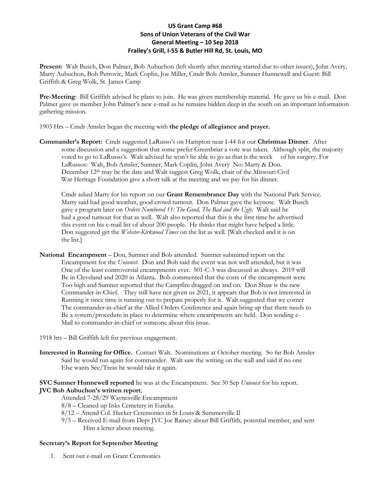## **US Grant Camp #68 Sons of Union Veterans of the Civil War General Meeting – 10 Sep 2018 Frailey's Grill, I-55 & Butler Hill Rd, St. Louis, MO**

**Present:** Walt Busch, Don Palmer, Bob Aubuchon (left shortly after meeting started due to other issues), John Avery, Marty Aubuchon, Bob Petrovic, Mark Coplin, Joe Miller, Cmdr Bob Amsler, Sumner Hunnewell and Guest: Bill Griffith & Greg Wolk, St. James Camp

**Pre-Meeting**: Bill Griffith advised he plans to join. He was given membership material. He gave us his e-mail. Don Palmer gave us member John Palmer's new e-mail as he remains hidden deep in the south on an important information gathering mission.

1903 Hrs – Cmdr Amsler began the meeting with **the pledge of allegiance and prayer.**

**Commander's Report:** Cmdr suggested LaRusso's on Hampton near I-44 for our **Christmas Dinner**. After some discussion and a suggestion that some prefer Greenbriar a vote was taken. Although split, the majority voted to go to LaRusso's. Walt advised he won't be able to go as that is the week of his surgery. For LaRussos: Walt, Bob Amsler, Sumner, Mark Coplin, John Avery No: Marty & Don. December 12<sup>th</sup> may be the date and Walt suggest Greg Wolk, chair of the Missouri Civil War Heritage Foundation give a short talk at the meeting and we pay for his dinner.

Cmdr asked Marty for his report on our **Grant Remembrance Day** with the National Park Service. Marty said had good weather, good crowd turnout. Don Palmer gave the keynote. Walt Busch gave a program later on *Orders Numbered 11: The Good, The Bad and the Ugly.* Walt said he had a good turnout for that as well. Walt also reported that this is the first time he advertised this event on his e-mail list of about 200 people. He thinks that might have helped a little. Don suggested get the *Webster-Kirkwood Times* on the list as well. [Walt checked and it is on the list.]

**National Encampment** – Don, Sumner and Bob attended. Sumner submitted report on the Encampment for the *Unionist*. Don and Bob said the event was not well attended, but it was One of the least controversial encampments ever. 501-C-3 was discussed as always. 2019 will Be in Cleveland and 2020 in Atlanta. Bob commented that the costs of the encampment were Too high and Sumner reported that the Campfire dragged on and on. Don Shaw is the new Commander-in-Chief. They still have not given us 2021, it appears that Bob is not interested in Running it since time is running out to prepare properly for it. Walt suggested that we corner The commander-in-chief at the Allied Orders Conference and again bring up that there needs to Be a system/procedure in place to determine where encampments are held. Don sending e-Mail to commander-in-chief or someone about this issue.

1918 hrs – Bill Griffith left for previous engagement.

**Interested in Running for Office.** Contact Walt. Nominations at October meeting. So far Bob Amsler Said he would run again for commander. Walt saw the writing on the wall and said if no one Else wants Sec/Treas he would take it again.

### **SVC Sumner Hunnewell reported** he was at the Encampment. See 30 Sep *Unionist* for his report. **JVC Bob Aubuchon's written report**;

- Attended 7-28/29 Waynesville Encampment
- 8/8 Cleaned up Inks Cemetery in Eureka
- 8/12 Attend Col. Hecker Ceremonies in St Louis & Summerville Il
- 9/5 Received E-mail from Dept JVC Joe Rainey about Bill Griffith, potential member, and sent Him a letter about meeting.

#### **Secretary's Report for September Meeting**

1. Sent out e-mail on Grant Ceremonies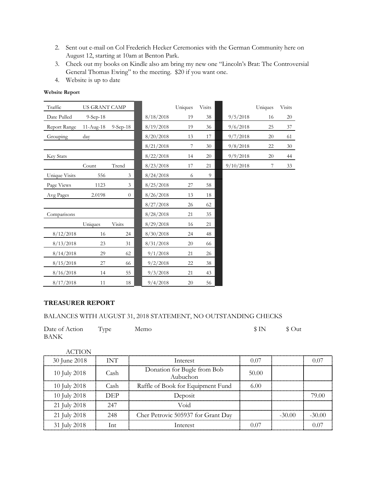- 2. Sent out e-mail on Col Frederich Hecker Ceremonies with the German Community here on August 12, starting at 10am at Benton Park.
- 3. Check out my books on Kindle also am bring my new one "Lincoln's Brat: The Controversial General Thomas Ewing" to the meeting. \$20 if you want one.
- 4. Website is up to date

## **Website Report**

| Traffic          | US GRANT CAMP |               |           | Uniques | <b>Visits</b> |           | Uniques | <b>Visits</b> |
|------------------|---------------|---------------|-----------|---------|---------------|-----------|---------|---------------|
| Date Pulled      | $9-Sep-18$    |               | 8/18/2018 | 19      | 38            | 9/5/2018  | 16      | 20            |
| Report Range     | $11-Aug-18$   | $9-Sep-18$    | 8/19/2018 | 19      | 36            | 9/6/2018  | 25      | 37            |
| Grouping         | day           |               | 8/20/2018 | 13      | 17            | 9/7/2018  | 20      | 61            |
|                  |               |               | 8/21/2018 | 7       | 30            | 9/8/2018  | 22      | 30            |
| <b>Key Stats</b> |               |               | 8/22/2018 | 14      | 20            | 9/9/2018  | 20      | 44            |
|                  | Count         | Trend         | 8/23/2018 | 17      | 21            | 9/10/2018 | 7       | 33            |
| Unique Visits    | 556           | 3             | 8/24/2018 | 6       | 9             |           |         |               |
| Page Views       | 1123          | 3             | 8/25/2018 | 27      | 58            |           |         |               |
| Avg Pages        | 2.0198        | $\theta$      | 8/26/2018 | 13      | 18            |           |         |               |
|                  |               |               | 8/27/2018 | 26      | 62            |           |         |               |
| Comparisons      |               |               | 8/28/2018 | 21      | 35            |           |         |               |
|                  | Uniques       | <b>Visits</b> | 8/29/2018 | 16      | 21            |           |         |               |
| 8/12/2018        | 16            | 24            | 8/30/2018 | 24      | 48            |           |         |               |
| 8/13/2018        | 23            | 31            | 8/31/2018 | 20      | 66            |           |         |               |
| 8/14/2018        | 29            | 62            | 9/1/2018  | 21      | 26            |           |         |               |
| 8/15/2018        | 27            | 66            | 9/2/2018  | 22      | 38            |           |         |               |
| 8/16/2018        | 14            | 55            | 9/3/2018  | 21      | 43            |           |         |               |
| 8/17/2018        | 11            | 18            | 9/4/2018  | 20      | 56            |           |         |               |

## **TREASURER REPORT**

## BALANCES WITH AUGUST 31, 2018 STATEMENT, NO OUTSTANDING CHECKS

| Date of Action Type | Memo | $\text{S} \text{IN}$ $\text{S} \text{Out}$ |  |
|---------------------|------|--------------------------------------------|--|
| <b>BANK</b>         |      |                                            |  |

| ACTION       |            |                                         |       |          |        |
|--------------|------------|-----------------------------------------|-------|----------|--------|
| 30 June 2018 | <b>INT</b> | Interest                                | በ በ7  |          |        |
| 10 July 2018 | Cash       | Donation for Bugle from Bob<br>Aubuchon | 50.00 |          |        |
| 10 July 2018 | Cash       | Raffle of Book for Equipment Fund       | 6.00  |          |        |
| 10 July 2018 | DEP        | Deposit                                 |       |          | 79.00  |
| 21 July 2018 | 247        | Void                                    |       |          |        |
| 21 July 2018 | 248        | Cher Petrovic 505937 for Grant Day      |       | $-30.00$ | -30.00 |
| 31 July 2018 | Int        | Interest                                | በ በ7  |          |        |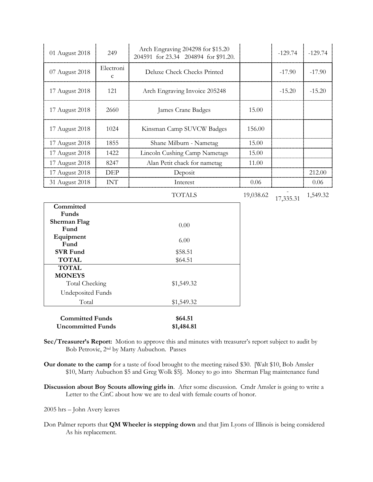| 01 August 2018                                     | 249                      | Arch Engraving 204298 for \$15.20<br>204591 for 23.34 204894 for \$91.20. |           | $-129.74$ | $-129.74$ |
|----------------------------------------------------|--------------------------|---------------------------------------------------------------------------|-----------|-----------|-----------|
| 07 August 2018                                     | Electroni<br>$\mathbf c$ | Deluxe Check Checks Printed                                               |           | $-17.90$  | $-17.90$  |
| 17 August 2018                                     | 121                      | Arch Engraving Invoice 205248                                             | $-15.20$  |           | $-15.20$  |
| 17 August 2018                                     | 2660                     | James Crane Badges                                                        | 15.00     |           |           |
| 17 August 2018                                     | 1024                     | Kinsman Camp SUVCW Badges                                                 | 156.00    |           |           |
| 17 August 2018                                     | 1855                     | Shane Milburn - Nametag                                                   | 15.00     |           |           |
| 17 August 2018                                     | 1422                     | Lincoln Cushing Camp Nametags                                             | 15.00     |           |           |
| 17 August 2018                                     | 8247                     | Alan Petit chack for nametag                                              | 11.00     |           |           |
| 17 August 2018                                     | <b>DEP</b>               | Deposit                                                                   |           |           | 212.00    |
| 31 August 2018                                     | <b>INT</b>               | Interest                                                                  | 0.06      |           | $0.06\,$  |
|                                                    |                          | <b>TOTALS</b>                                                             | 19,038.62 | 17,335.31 | 1,549.32  |
| Committed<br>Funds                                 |                          |                                                                           |           |           |           |
| <b>Sherman Flag</b><br>Fund                        |                          | 0.00                                                                      |           |           |           |
| Equipment<br>Fund                                  |                          | 6.00                                                                      |           |           |           |
| <b>SVR Fund</b>                                    |                          | \$58.51                                                                   |           |           |           |
| <b>TOTAL</b>                                       |                          | \$64.51                                                                   |           |           |           |
| <b>TOTAL</b>                                       |                          |                                                                           |           |           |           |
| <b>MONEYS</b><br>Total Checking                    |                          | \$1,549.32                                                                |           |           |           |
| <b>Undeposited Funds</b>                           |                          |                                                                           |           |           |           |
| Total                                              |                          | \$1,549.32                                                                |           |           |           |
|                                                    |                          |                                                                           |           |           |           |
| <b>Committed Funds</b><br><b>Uncommitted Funds</b> |                          | \$64.51<br>\$1,484.81                                                     |           |           |           |

- **Sec/Treasurer's Report:** Motion to approve this and minutes with treasurer's report subject to audit by Bob Petrovic, 2nd by Marty Aubuchon. Passes
- **Our donate to the camp** for a taste of food brought to the meeting raised \$30. [Walt \$10, Bob Amsler \$10, Marty Aubuchon \$5 and Greg Wolk \$5]. Money to go into Sherman Flag maintenance fund
- **Discussion about Boy Scouts allowing girls in**. After some discussion. Cmdr Amsler is going to write a Letter to the CinC about how we are to deal with female courts of honor.

2005 hrs – John Avery leaves

Don Palmer reports that **QM Wheeler is stepping down** and that Jim Lyons of Illinois is being considered As his replacement.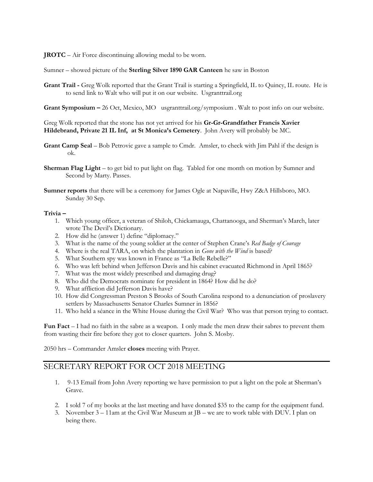**JROTC** – Air Force discontinuing allowing medal to be worn.

Sumner – showed picture of the **Sterling Silver 1890 GAR Canteen** he saw in Boston

**Grant Trail -** Greg Wolk reported that the Grant Trail is starting a Springfield, IL to Quincy, IL route. He is to send link to Walt who will put it on our website. Usgranttrail.org

**Grant Symposium –** 26 Oct, Mexico, MO usgranttrail.org/symposium . Walt to post info on our website.

Greg Wolk reported that the stone has not yet arrived for his **Gr-Gr-Grandfather Francis Xavier Hildebrand, Private 21 IL Inf, at St Monica's Cemetery**. John Avery will probably be MC.

- **Grant Camp Seal** Bob Petrovic gave a sample to Cmdr. Amsler, to check with Jim Pahl if the design is ok.
- **Sherman Flag Light** to get bid to put light on flag. Tabled for one month on motion by Sumner and Second by Marty. Passes.
- **Sumner reports** that there will be a ceremony for James Ogle at Napaville, Hwy Z&A Hillsboro, MO. Sunday 30 Sep.

#### **Trivia –**

- 1. Which young officer, a veteran of Shiloh, Chickamauga, Chattanooga, and Sherman's March, later wrote The Devil's Dictionary.
- 2. How did he (answer 1) define "diplomacy."
- 3. What is the name of the young soldier at the center of Stephen Crane's *Red Badge of Courage*
- 4. Where is the real TARA, on which the plantation in *Gone with the Wind* is based?
- 5. What Southern spy was known in France as "La Belle Rebelle?"
- 6. Who was left behind when Jefferson Davis and his cabinet evacuated Richmond in April 1865?
- 7. What was the most widely prescribed and damaging drug?
- 8. Who did the Democrats nominate for president in 1864? How did he do?
- 9. What affliction did Jefferson Davis have?
- 10. How did Congressman Preston S Brooks of South Carolina respond to a denunciation of proslavery settlers by Massachusetts Senator Charles Sumner in 1856?
- 11. Who held a séance in the White House during the Civil War? Who was that person trying to contact.

**Fun Fact** – I had no faith in the sabre as a weapon. I only made the men draw their sabres to prevent them from wasting their fire before they got to closer quarters. John S. Mosby.

2050 hrs – Commander Amsler **closes** meeting with Prayer.

# SECRETARY REPORT FOR OCT 2018 MEETING

- 1. 9-13 Email from John Avery reporting we have permission to put a light on the pole at Sherman's Grave.
- 2. I sold 7 of my books at the last meeting and have donated \$35 to the camp for the equipment fund.
- 3. November  $3 11$  am at the Civil War Museum at  $[B we$  are to work table with DUV. I plan on being there.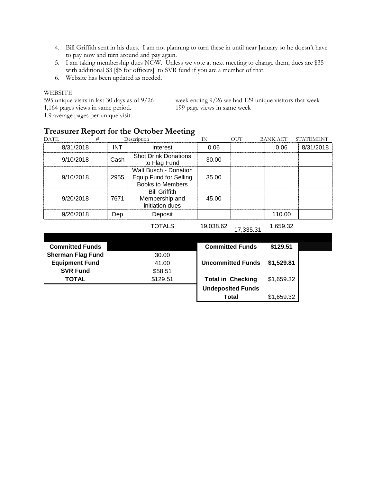- 4. Bill Griffith sent in his dues. I am not planning to turn these in until near January so he doesn't have to pay now and turn around and pay again.
- 5. I am taking membership dues NOW. Unless we vote at next meeting to change them, dues are \$35 with additional \$3 [\$5 for officers] to SVR fund if you are a member of that.
- 6. Website has been updated as needed.

### WEBSITE

1,164 pages views in same period. 199 page views in same week 1.9 average pages per unique visit.

595 unique visits in last 30 days as of 9/26 week ending 9/26 we had 129 unique visitors that week

## **Treasurer Report for the October Meeting**

| <b>DATE</b> |      | Description                                                                       | ΙN    | OUT | BANK ACT | <b>STATEMENT</b> |
|-------------|------|-----------------------------------------------------------------------------------|-------|-----|----------|------------------|
| 8/31/2018   | INT  | Interest                                                                          | 0.06  |     | 0.06     | 8/31/2018        |
| 9/10/2018   | Cash | <b>Shot Drink Donations</b><br>to Flag Fund                                       | 30.00 |     |          |                  |
| 9/10/2018   | 2955 | Walt Busch - Donation<br><b>Equip Fund for Selling</b><br><b>Books to Members</b> | 35.00 |     |          |                  |
| 9/20/2018   | 7671 | <b>Bill Griffith</b><br>Membership and<br>initiation dues                         | 45.00 |     |          |                  |
| 9/26/2018   | Dep  | Deposit                                                                           |       |     | 110.00   |                  |
|             |      |                                                                                   |       |     |          |                  |

TOTALS 19,038.62

17,335.31 1,659.32

| <b>Committed Funds</b>   |          | <b>Committed Funds</b>   | \$129.51   |  |
|--------------------------|----------|--------------------------|------------|--|
| <b>Sherman Flag Fund</b> | 30.00    |                          |            |  |
| <b>Equipment Fund</b>    | 41.00    | <b>Uncommitted Funds</b> | \$1,529.81 |  |
| <b>SVR Fund</b>          | \$58.51  |                          |            |  |
| <b>TOTAL</b>             | \$129.51 | <b>Total in Checking</b> | \$1,659.32 |  |
|                          |          | <b>Undeposited Funds</b> |            |  |
|                          |          | <b>Total</b>             | \$1,659.32 |  |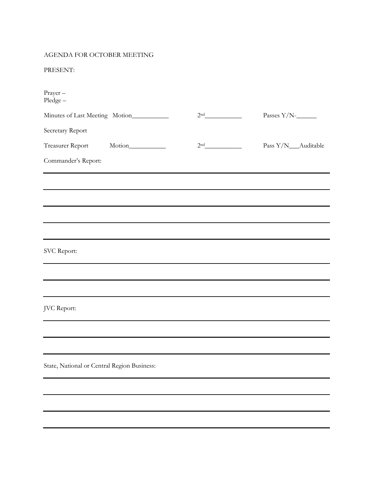# AGENDA FOR OCTOBER MEETING

PRESENT:

| Prayer-<br>Pledge-                          |                 |                       |
|---------------------------------------------|-----------------|-----------------------|
| Minutes of Last Meeting Motion__________    | 2 <sup>nd</sup> | Passes $Y/N$ - $\_\_$ |
| Secretary Report                            |                 |                       |
| Treasurer Report                            | 2 <sup>nd</sup> | Pass Y/N__Auditable   |
| Commander's Report:                         |                 |                       |
|                                             |                 |                       |
|                                             |                 |                       |
|                                             |                 |                       |
|                                             |                 |                       |
|                                             |                 |                       |
| SVC Report:                                 |                 |                       |
|                                             |                 |                       |
|                                             |                 |                       |
| JVC Report:                                 |                 |                       |
|                                             |                 |                       |
|                                             |                 |                       |
| State, National or Central Region Business: |                 |                       |
|                                             |                 |                       |
|                                             |                 |                       |
|                                             |                 |                       |